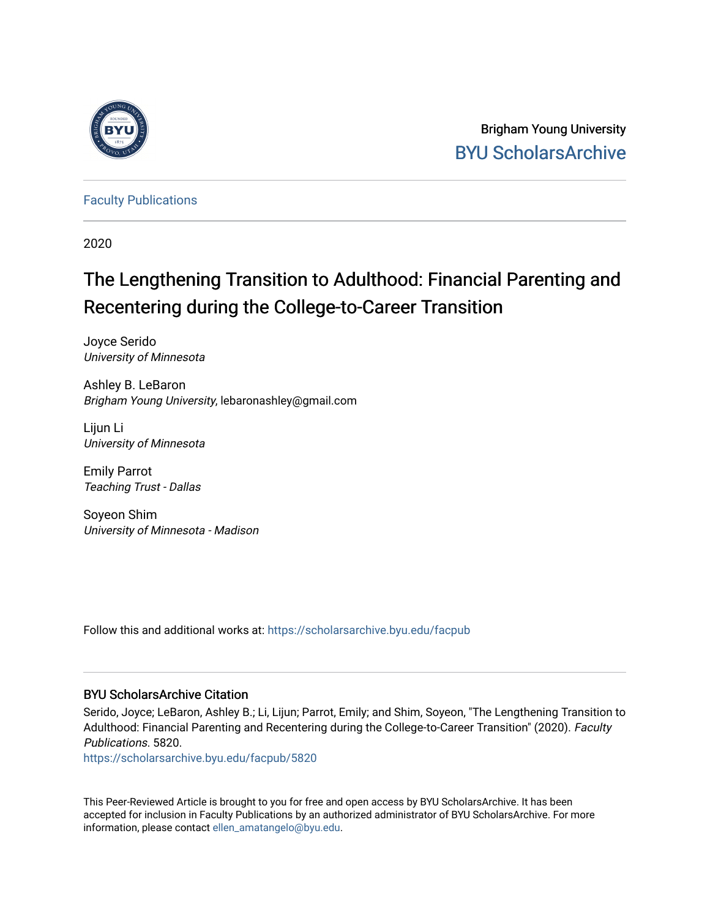

Brigham Young University [BYU ScholarsArchive](https://scholarsarchive.byu.edu/) 

[Faculty Publications](https://scholarsarchive.byu.edu/facpub)

2020

# The Lengthening Transition to Adulthood: Financial Parenting and Recentering during the College-to-Career Transition

Joyce Serido University of Minnesota

Ashley B. LeBaron Brigham Young University, lebaronashley@gmail.com

Lijun Li University of Minnesota

Emily Parrot Teaching Trust - Dallas

Soyeon Shim University of Minnesota - Madison

Follow this and additional works at: [https://scholarsarchive.byu.edu/facpub](https://scholarsarchive.byu.edu/facpub?utm_source=scholarsarchive.byu.edu%2Ffacpub%2F5820&utm_medium=PDF&utm_campaign=PDFCoverPages) 

# BYU ScholarsArchive Citation

Serido, Joyce; LeBaron, Ashley B.; Li, Lijun; Parrot, Emily; and Shim, Soyeon, "The Lengthening Transition to Adulthood: Financial Parenting and Recentering during the College-to-Career Transition" (2020). Faculty Publications. 5820.

[https://scholarsarchive.byu.edu/facpub/5820](https://scholarsarchive.byu.edu/facpub/5820?utm_source=scholarsarchive.byu.edu%2Ffacpub%2F5820&utm_medium=PDF&utm_campaign=PDFCoverPages)

This Peer-Reviewed Article is brought to you for free and open access by BYU ScholarsArchive. It has been accepted for inclusion in Faculty Publications by an authorized administrator of BYU ScholarsArchive. For more information, please contact [ellen\\_amatangelo@byu.edu.](mailto:ellen_amatangelo@byu.edu)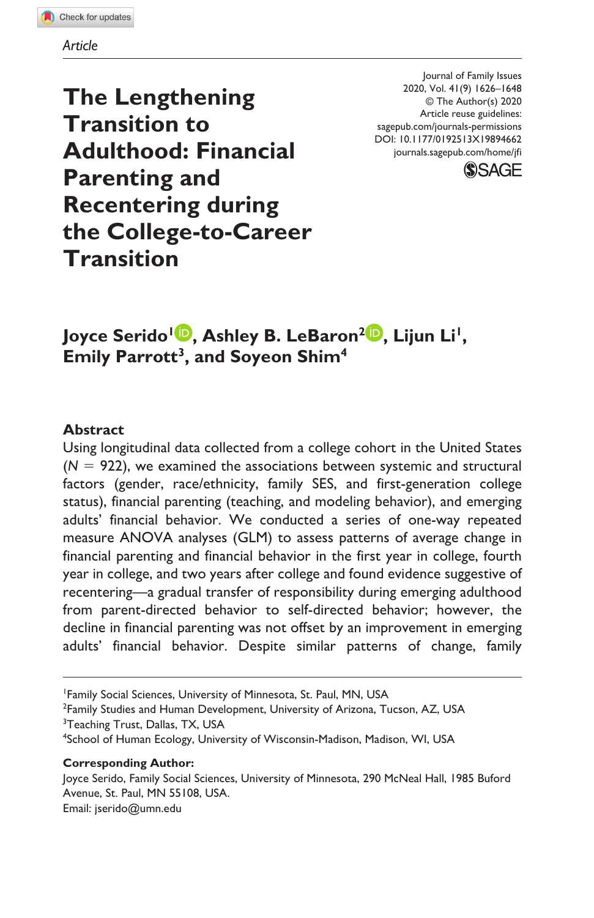#### *Article*

**The Lengthening Transition to Adulthood: Financial Parenting and Recentering during the College-to-Career Transition**

DOI: 10.1177/0192513X19894662 Journal of Family Issues 2020, Vol. 41(9) 1626–1648 © The Author(s) 2020 Article reuse guidelines: [sagepub.com/journals-permissions](https://us.sagepub.com/en-us/journals-permissions) [journals.sagepub.com/home/jfi](https://journals.sagepub.com/home/jfi)



**Joyce Serido1 , Ashley B. LeBaron2 , Lijun Li1, Emily Parrott<sup>3</sup>, and Soyeon Shim<sup>4</sup>** 

#### **Abstract**

Using longitudinal data collected from a college cohort in the United States  $(N = 922)$ , we examined the associations between systemic and structural factors (gender, race/ethnicity, family SES, and first-generation college status), financial parenting (teaching, and modeling behavior), and emerging adults' financial behavior. We conducted a series of one-way repeated measure ANOVA analyses (GLM) to assess patterns of average change in financial parenting and financial behavior in the first year in college, fourth year in college, and two years after college and found evidence suggestive of recentering—a gradual transfer of responsibility during emerging adulthood from parent-directed behavior to self-directed behavior; however, the decline in financial parenting was not offset by an improvement in emerging adults' financial behavior. Despite similar patterns of change, family

<sup>2</sup> Family Studies and Human Development, University of Arizona, Tucson, AZ, USA <sup>3</sup>Teaching Trust, Dallas, TX, USA

4 School of Human Ecology, University of Wisconsin-Madison, Madison, WI, USA

#### **Corresponding Author:**

Joyce Serido, Family Social Sciences, University of Minnesota, 290 McNeal Hall, 1985 Buford Avenue, St. Paul, MN 55108, USA. Email: [jserido@umn.edu](mailto:jserido@umn.edu)

<sup>1</sup> Family Social Sciences, University of Minnesota, St. Paul, MN, USA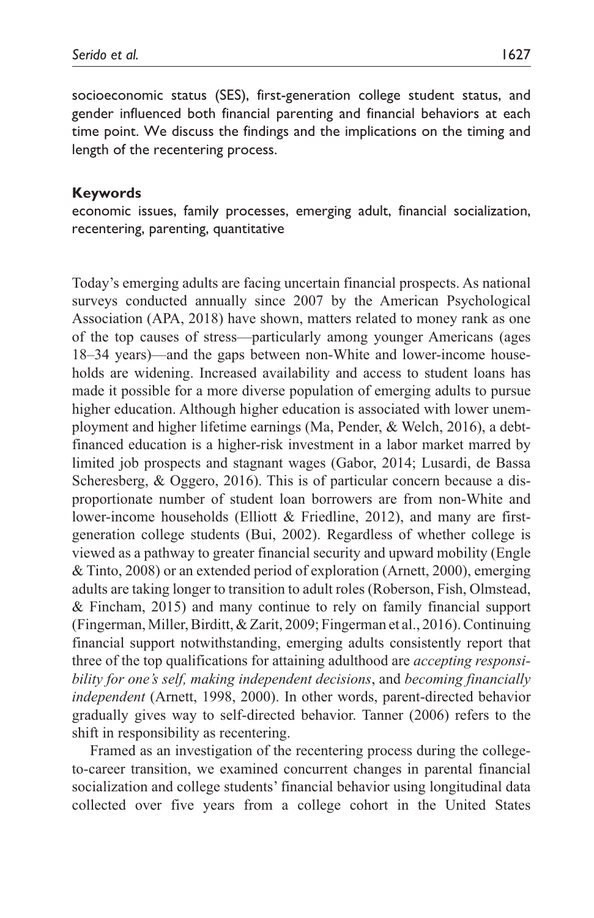socioeconomic status (SES), first-generation college student status, and gender influenced both financial parenting and financial behaviors at each time point. We discuss the findings and the implications on the timing and length of the recentering process.

#### **Keywords**

economic issues, family processes, emerging adult, financial socialization, recentering, parenting, quantitative

Today's emerging adults are facing uncertain financial prospects. As national surveys conducted annually since 2007 by the American Psychological Association (APA, 2018) have shown, matters related to money rank as one of the top causes of stress—particularly among younger Americans (ages 18–34 years)—and the gaps between non-White and lower-income households are widening. Increased availability and access to student loans has made it possible for a more diverse population of emerging adults to pursue higher education. Although higher education is associated with lower unemployment and higher lifetime earnings (Ma, Pender, & Welch, 2016), a debtfinanced education is a higher-risk investment in a labor market marred by limited job prospects and stagnant wages (Gabor, 2014; Lusardi, de Bassa Scheresberg, & Oggero, 2016). This is of particular concern because a disproportionate number of student loan borrowers are from non-White and lower-income households (Elliott & Friedline, 2012), and many are firstgeneration college students (Bui, 2002). Regardless of whether college is viewed as a pathway to greater financial security and upward mobility (Engle & Tinto, 2008) or an extended period of exploration (Arnett, 2000), emerging adults are taking longer to transition to adult roles (Roberson, Fish, Olmstead, & Fincham, 2015) and many continue to rely on family financial support (Fingerman, Miller, Birditt, & Zarit, 2009; Fingerman et al., 2016). Continuing financial support notwithstanding, emerging adults consistently report that three of the top qualifications for attaining adulthood are *accepting responsibility for one's self, making independent decisions*, and *becoming financially independent* (Arnett, 1998, 2000). In other words, parent-directed behavior gradually gives way to self-directed behavior. Tanner (2006) refers to the shift in responsibility as recentering.

Framed as an investigation of the recentering process during the collegeto-career transition, we examined concurrent changes in parental financial socialization and college students' financial behavior using longitudinal data collected over five years from a college cohort in the United States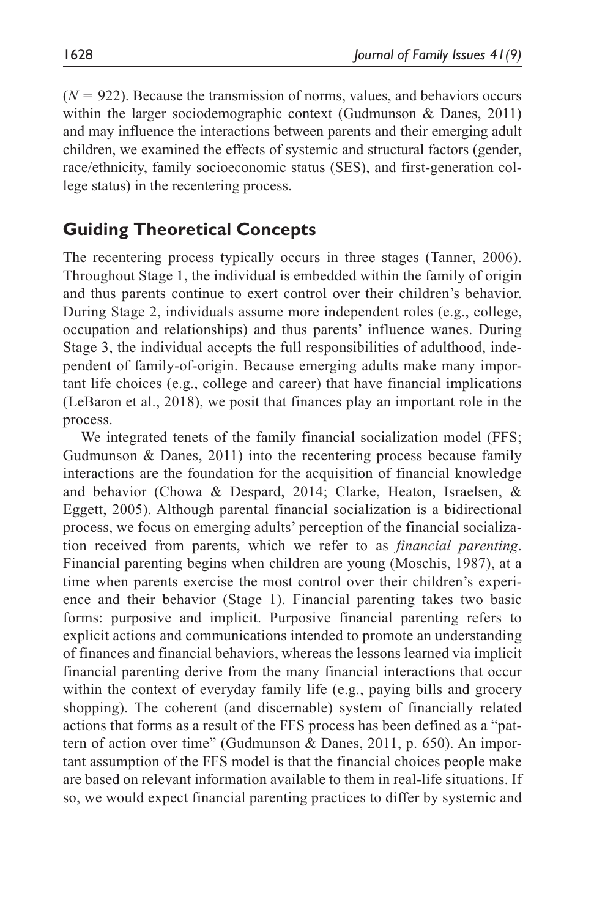$(N = 922)$ . Because the transmission of norms, values, and behaviors occurs within the larger sociodemographic context (Gudmunson & Danes, 2011) and may influence the interactions between parents and their emerging adult children, we examined the effects of systemic and structural factors (gender, race/ethnicity, family socioeconomic status (SES), and first-generation college status) in the recentering process.

# **Guiding Theoretical Concepts**

The recentering process typically occurs in three stages (Tanner, 2006). Throughout Stage 1, the individual is embedded within the family of origin and thus parents continue to exert control over their children's behavior. During Stage 2, individuals assume more independent roles (e.g., college, occupation and relationships) and thus parents' influence wanes. During Stage 3, the individual accepts the full responsibilities of adulthood, independent of family-of-origin. Because emerging adults make many important life choices (e.g., college and career) that have financial implications (LeBaron et al., 2018), we posit that finances play an important role in the process.

We integrated tenets of the family financial socialization model (FFS; Gudmunson & Danes, 2011) into the recentering process because family interactions are the foundation for the acquisition of financial knowledge and behavior (Chowa & Despard, 2014; Clarke, Heaton, Israelsen, & Eggett, 2005). Although parental financial socialization is a bidirectional process, we focus on emerging adults' perception of the financial socialization received from parents, which we refer to as *financial parenting*. Financial parenting begins when children are young (Moschis, 1987), at a time when parents exercise the most control over their children's experience and their behavior (Stage 1). Financial parenting takes two basic forms: purposive and implicit. Purposive financial parenting refers to explicit actions and communications intended to promote an understanding of finances and financial behaviors, whereas the lessons learned via implicit financial parenting derive from the many financial interactions that occur within the context of everyday family life (e.g., paying bills and grocery shopping). The coherent (and discernable) system of financially related actions that forms as a result of the FFS process has been defined as a "pattern of action over time" (Gudmunson & Danes, 2011, p. 650). An important assumption of the FFS model is that the financial choices people make are based on relevant information available to them in real-life situations. If so, we would expect financial parenting practices to differ by systemic and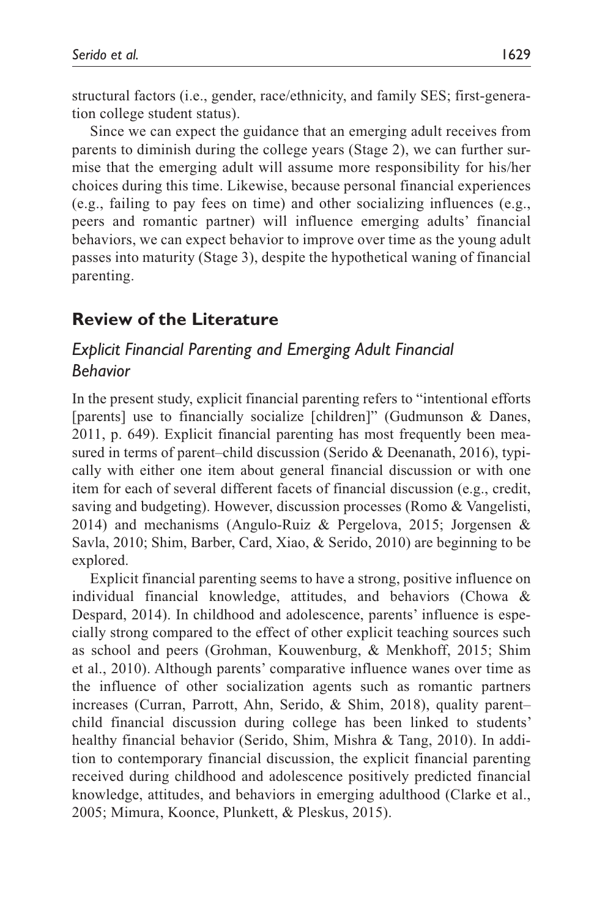structural factors (i.e., gender, race/ethnicity, and family SES; first-generation college student status).

Since we can expect the guidance that an emerging adult receives from parents to diminish during the college years (Stage 2), we can further surmise that the emerging adult will assume more responsibility for his/her choices during this time. Likewise, because personal financial experiences (e.g., failing to pay fees on time) and other socializing influences (e.g., peers and romantic partner) will influence emerging adults' financial behaviors, we can expect behavior to improve over time as the young adult passes into maturity (Stage 3), despite the hypothetical waning of financial parenting.

# **Review of the Literature**

## *Explicit Financial Parenting and Emerging Adult Financial Behavior*

In the present study, explicit financial parenting refers to "intentional efforts [parents] use to financially socialize [children]" (Gudmunson & Danes, 2011, p. 649). Explicit financial parenting has most frequently been measured in terms of parent–child discussion (Serido & Deenanath, 2016), typically with either one item about general financial discussion or with one item for each of several different facets of financial discussion (e.g., credit, saving and budgeting). However, discussion processes (Romo & Vangelisti, 2014) and mechanisms (Angulo-Ruiz & Pergelova, 2015; Jorgensen & Savla, 2010; Shim, Barber, Card, Xiao, & Serido, 2010) are beginning to be explored.

Explicit financial parenting seems to have a strong, positive influence on individual financial knowledge, attitudes, and behaviors (Chowa & Despard, 2014). In childhood and adolescence, parents' influence is especially strong compared to the effect of other explicit teaching sources such as school and peers (Grohman, Kouwenburg, & Menkhoff, 2015; Shim et al., 2010). Although parents' comparative influence wanes over time as the influence of other socialization agents such as romantic partners increases (Curran, Parrott, Ahn, Serido, & Shim, 2018), quality parent– child financial discussion during college has been linked to students' healthy financial behavior (Serido, Shim, Mishra & Tang, 2010). In addition to contemporary financial discussion, the explicit financial parenting received during childhood and adolescence positively predicted financial knowledge, attitudes, and behaviors in emerging adulthood (Clarke et al., 2005; Mimura, Koonce, Plunkett, & Pleskus, 2015).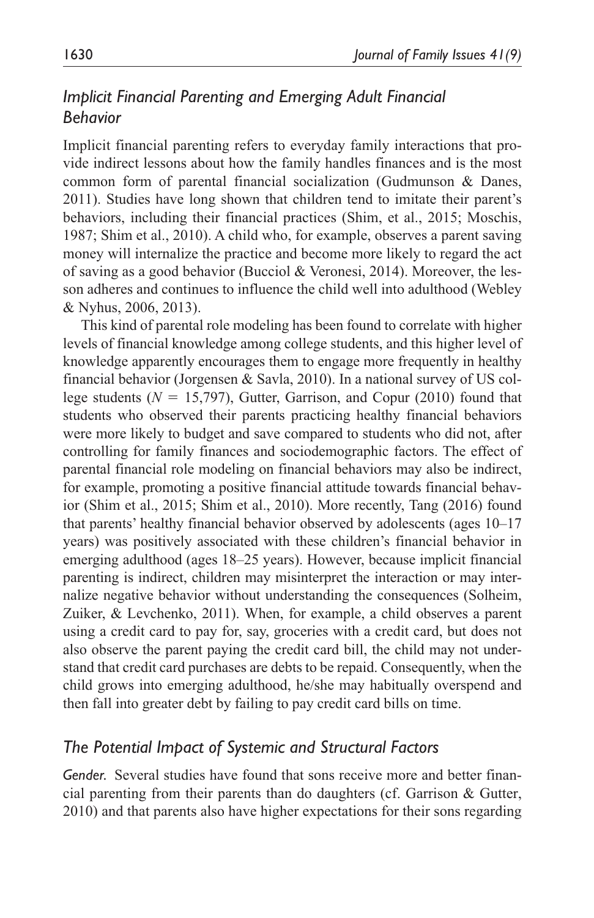# **Implicit Financial Parenting and Emerging Adult Financial** *Behavior*

Implicit financial parenting refers to everyday family interactions that provide indirect lessons about how the family handles finances and is the most common form of parental financial socialization (Gudmunson & Danes, 2011). Studies have long shown that children tend to imitate their parent's behaviors, including their financial practices (Shim, et al., 2015; Moschis, 1987; Shim et al., 2010). A child who, for example, observes a parent saving money will internalize the practice and become more likely to regard the act of saving as a good behavior (Bucciol & Veronesi, 2014). Moreover, the lesson adheres and continues to influence the child well into adulthood (Webley & Nyhus, 2006, 2013).

This kind of parental role modeling has been found to correlate with higher levels of financial knowledge among college students, and this higher level of knowledge apparently encourages them to engage more frequently in healthy financial behavior (Jorgensen & Savla, 2010). In a national survey of US college students ( $N = 15,797$ ), Gutter, Garrison, and Copur (2010) found that students who observed their parents practicing healthy financial behaviors were more likely to budget and save compared to students who did not, after controlling for family finances and sociodemographic factors. The effect of parental financial role modeling on financial behaviors may also be indirect, for example, promoting a positive financial attitude towards financial behavior (Shim et al., 2015; Shim et al., 2010). More recently, Tang (2016) found that parents' healthy financial behavior observed by adolescents (ages 10–17 years) was positively associated with these children's financial behavior in emerging adulthood (ages 18–25 years). However, because implicit financial parenting is indirect, children may misinterpret the interaction or may internalize negative behavior without understanding the consequences (Solheim, Zuiker, & Levchenko, 2011). When, for example, a child observes a parent using a credit card to pay for, say, groceries with a credit card, but does not also observe the parent paying the credit card bill, the child may not understand that credit card purchases are debts to be repaid. Consequently, when the child grows into emerging adulthood, he/she may habitually overspend and then fall into greater debt by failing to pay credit card bills on time.

# *The Potential Impact of Systemic and Structural Factors*

*Gender.* Several studies have found that sons receive more and better financial parenting from their parents than do daughters (cf. Garrison & Gutter, 2010) and that parents also have higher expectations for their sons regarding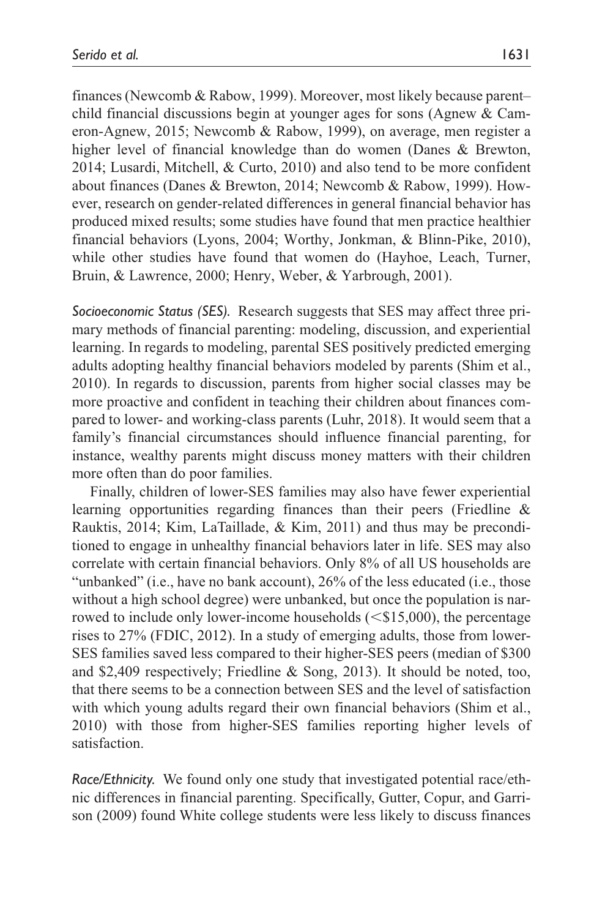finances (Newcomb & Rabow, 1999). Moreover, most likely because parent– child financial discussions begin at younger ages for sons (Agnew & Cameron-Agnew, 2015; Newcomb & Rabow, 1999), on average, men register a higher level of financial knowledge than do women (Danes & Brewton, 2014; Lusardi, Mitchell, & Curto, 2010) and also tend to be more confident about finances (Danes & Brewton, 2014; Newcomb & Rabow, 1999). However, research on gender-related differences in general financial behavior has produced mixed results; some studies have found that men practice healthier financial behaviors (Lyons, 2004; Worthy, Jonkman, & Blinn-Pike, 2010), while other studies have found that women do (Hayhoe, Leach, Turner, Bruin, & Lawrence, 2000; Henry, Weber, & Yarbrough, 2001).

*Socioeconomic Status (SES).* Research suggests that SES may affect three primary methods of financial parenting: modeling, discussion, and experiential learning. In regards to modeling, parental SES positively predicted emerging adults adopting healthy financial behaviors modeled by parents (Shim et al., 2010). In regards to discussion, parents from higher social classes may be more proactive and confident in teaching their children about finances compared to lower- and working-class parents (Luhr, 2018). It would seem that a family's financial circumstances should influence financial parenting, for instance, wealthy parents might discuss money matters with their children more often than do poor families.

Finally, children of lower-SES families may also have fewer experiential learning opportunities regarding finances than their peers (Friedline & Rauktis, 2014; Kim, LaTaillade, & Kim, 2011) and thus may be preconditioned to engage in unhealthy financial behaviors later in life. SES may also correlate with certain financial behaviors. Only 8% of all US households are "unbanked" (i.e., have no bank account), 26% of the less educated (i.e., those without a high school degree) were unbanked, but once the population is narrowed to include only lower-income households  $(<\frac{15,000}{5,000})$ , the percentage rises to 27% (FDIC, 2012). In a study of emerging adults, those from lower-SES families saved less compared to their higher-SES peers (median of \$300 and \$2,409 respectively; Friedline & Song, 2013). It should be noted, too, that there seems to be a connection between SES and the level of satisfaction with which young adults regard their own financial behaviors (Shim et al., 2010) with those from higher-SES families reporting higher levels of satisfaction.

*Race/Ethnicity.* We found only one study that investigated potential race/ethnic differences in financial parenting. Specifically, Gutter, Copur, and Garrison (2009) found White college students were less likely to discuss finances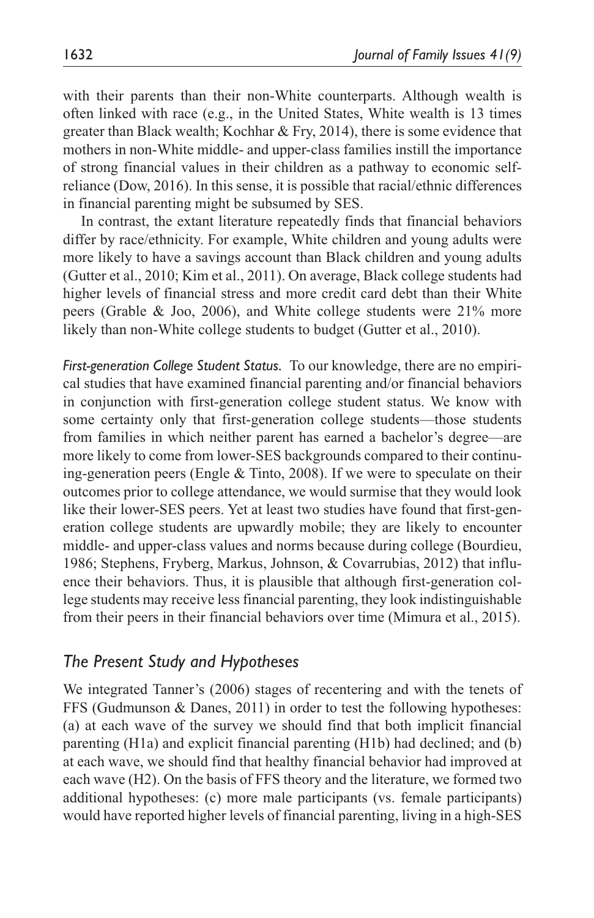with their parents than their non-White counterparts. Although wealth is often linked with race (e.g., in the United States, White wealth is 13 times greater than Black wealth; Kochhar & Fry, 2014), there is some evidence that mothers in non-White middle- and upper-class families instill the importance of strong financial values in their children as a pathway to economic selfreliance (Dow, 2016). In this sense, it is possible that racial/ethnic differences in financial parenting might be subsumed by SES.

In contrast, the extant literature repeatedly finds that financial behaviors differ by race/ethnicity. For example, White children and young adults were more likely to have a savings account than Black children and young adults (Gutter et al., 2010; Kim et al., 2011). On average, Black college students had higher levels of financial stress and more credit card debt than their White peers (Grable & Joo, 2006), and White college students were 21% more likely than non-White college students to budget (Gutter et al., 2010).

*First-generation College Student Status.* To our knowledge, there are no empirical studies that have examined financial parenting and/or financial behaviors in conjunction with first-generation college student status. We know with some certainty only that first-generation college students—those students from families in which neither parent has earned a bachelor's degree—are more likely to come from lower-SES backgrounds compared to their continuing-generation peers (Engle & Tinto, 2008). If we were to speculate on their outcomes prior to college attendance, we would surmise that they would look like their lower-SES peers. Yet at least two studies have found that first-generation college students are upwardly mobile; they are likely to encounter middle- and upper-class values and norms because during college (Bourdieu, 1986; Stephens, Fryberg, Markus, Johnson, & Covarrubias, 2012) that influence their behaviors. Thus, it is plausible that although first-generation college students may receive less financial parenting, they look indistinguishable from their peers in their financial behaviors over time (Mimura et al., 2015).

#### *The Present Study and Hypotheses*

We integrated Tanner's (2006) stages of recentering and with the tenets of FFS (Gudmunson & Danes, 2011) in order to test the following hypotheses: (a) at each wave of the survey we should find that both implicit financial parenting (H1a) and explicit financial parenting (H1b) had declined; and (b) at each wave, we should find that healthy financial behavior had improved at each wave (H2). On the basis of FFS theory and the literature, we formed two additional hypotheses: (c) more male participants (vs. female participants) would have reported higher levels of financial parenting, living in a high-SES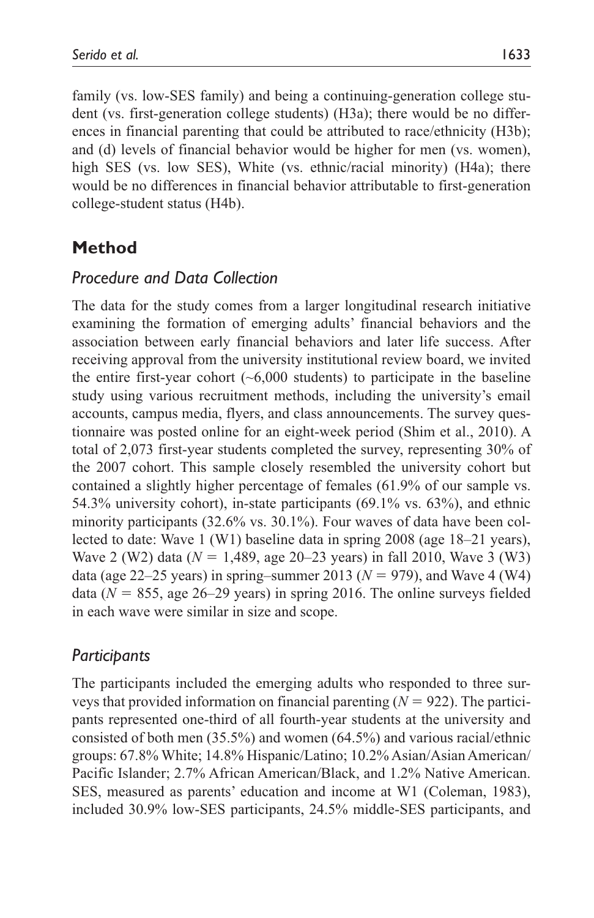family (vs. low-SES family) and being a continuing-generation college student (vs. first-generation college students) (H3a); there would be no differences in financial parenting that could be attributed to race/ethnicity (H3b); and (d) levels of financial behavior would be higher for men (vs. women), high SES (vs. low SES), White (vs. ethnic/racial minority) (H4a); there would be no differences in financial behavior attributable to first-generation college-student status (H4b).

# **Method**

# *Procedure and Data Collection*

The data for the study comes from a larger longitudinal research initiative examining the formation of emerging adults' financial behaviors and the association between early financial behaviors and later life success. After receiving approval from the university institutional review board, we invited the entire first-year cohort  $(-6,000$  students) to participate in the baseline study using various recruitment methods, including the university's email accounts, campus media, flyers, and class announcements. The survey questionnaire was posted online for an eight-week period (Shim et al., 2010). A total of 2,073 first-year students completed the survey, representing 30% of the 2007 cohort. This sample closely resembled the university cohort but contained a slightly higher percentage of females (61.9% of our sample vs. 54.3% university cohort), in-state participants (69.1% vs. 63%), and ethnic minority participants (32.6% vs. 30.1%). Four waves of data have been collected to date: Wave 1 (W1) baseline data in spring 2008 (age 18–21 years), Wave 2 (W2) data (*N* = 1,489, age 20–23 years) in fall 2010, Wave 3 (W3) data (age 22–25 years) in spring–summer 2013 ( $N = 979$ ), and Wave 4 (W4) data ( $N = 855$ , age 26–29 years) in spring 2016. The online surveys fielded in each wave were similar in size and scope.

# *Participants*

The participants included the emerging adults who responded to three surveys that provided information on financial parenting (*N* = 922). The participants represented one-third of all fourth-year students at the university and consisted of both men (35.5%) and women (64.5%) and various racial/ethnic groups: 67.8% White; 14.8% Hispanic/Latino; 10.2% Asian/Asian American/ Pacific Islander; 2.7% African American/Black, and 1.2% Native American. SES, measured as parents' education and income at W1 (Coleman, 1983), included 30.9% low-SES participants, 24.5% middle-SES participants, and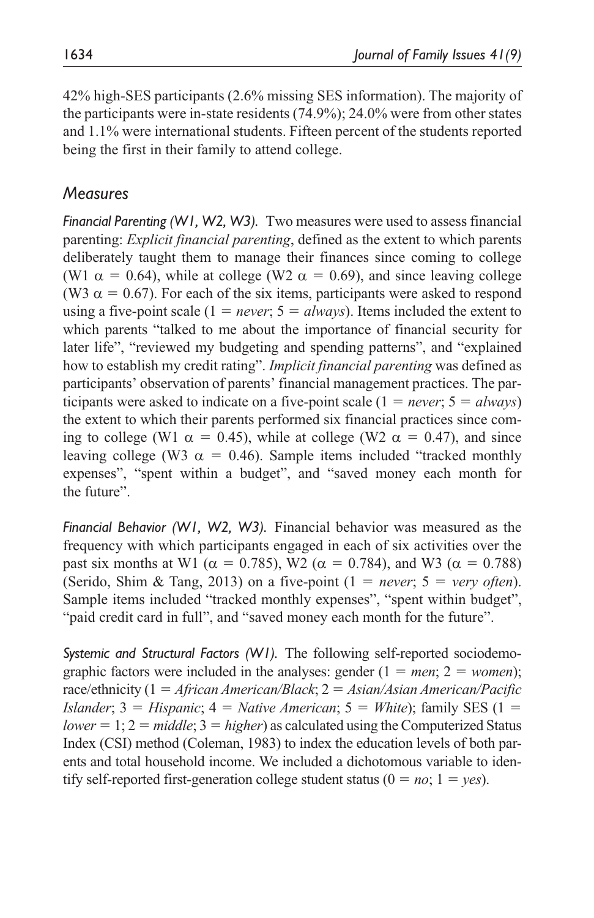42% high-SES participants (2.6% missing SES information). The majority of the participants were in-state residents (74.9%); 24.0% were from other states and 1.1% were international students. Fifteen percent of the students reported being the first in their family to attend college.

# *Measures*

*Financial Parenting (W1, W2, W3).* Two measures were used to assess financial parenting: *Explicit financial parenting*, defined as the extent to which parents deliberately taught them to manage their finances since coming to college (W1  $\alpha$  = 0.64), while at college (W2  $\alpha$  = 0.69), and since leaving college (W3  $\alpha$  = 0.67). For each of the six items, participants were asked to respond using a five-point scale ( $1 = never$ ;  $5 = always$ ). Items included the extent to which parents "talked to me about the importance of financial security for later life", "reviewed my budgeting and spending patterns", and "explained how to establish my credit rating". *Implicit financial parenting* was defined as participants' observation of parents' financial management practices. The participants were asked to indicate on a five-point scale  $(1 = never; 5 = always)$ the extent to which their parents performed six financial practices since coming to college (W1  $\alpha = 0.45$ ), while at college (W2  $\alpha = 0.47$ ), and since leaving college (W3  $\alpha$  = 0.46). Sample items included "tracked monthly expenses", "spent within a budget", and "saved money each month for the future".

*Financial Behavior (W1, W2, W3).* Financial behavior was measured as the frequency with which participants engaged in each of six activities over the past six months at W1 ( $\alpha = 0.785$ ), W2 ( $\alpha = 0.784$ ), and W3 ( $\alpha = 0.788$ ) (Serido, Shim & Tang, 2013) on a five-point  $(1 = never; 5 = very often)$ . Sample items included "tracked monthly expenses", "spent within budget", "paid credit card in full", and "saved money each month for the future".

*Systemic and Structural Factors (W1).* The following self-reported sociodemographic factors were included in the analyses: gender  $(1 = men; 2 = women);$ race/ethnicity (1 = *African American/Black*; 2 = *Asian/Asian American/Pacific Islander*;  $3 = H$ *ispanic*;  $4 = Nature$ *American*;  $5 = White$ *)*; family SES (1 =  $lower = 1; 2 = middle; 3 = higher$  as calculated using the Computerized Status Index (CSI) method (Coleman, 1983) to index the education levels of both parents and total household income. We included a dichotomous variable to identify self-reported first-generation college student status  $(0 = no; 1 = yes)$ .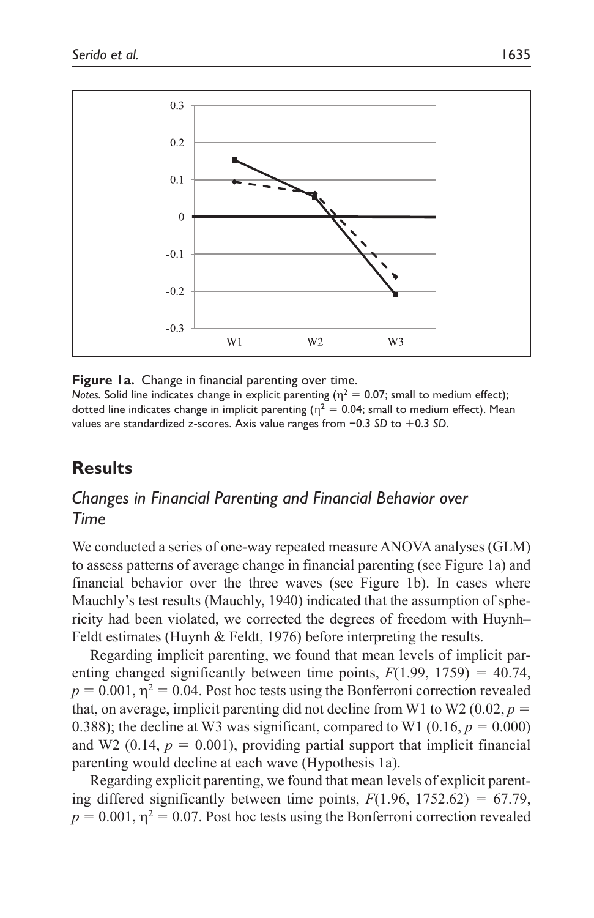

Figure 1a. Change in financial parenting over time.

*Notes.* Solid line indicates change in explicit parenting ( $\eta^2 = 0.07$ ; small to medium effect); dotted line indicates change in implicit parenting ( $n^2 = 0.04$ ; small to medium effect). Mean values are standardized *z*-scores. Axis value ranges from −0.3 *SD* to +0.3 *SD*.

# **Results**

## *Changes in Financial Parenting and Financial Behavior over Time*

We conducted a series of one-way repeated measure ANOVA analyses (GLM) to assess patterns of average change in financial parenting (see Figure 1a) and financial behavior over the three waves (see Figure 1b). In cases where Mauchly's test results (Mauchly, 1940) indicated that the assumption of sphericity had been violated, we corrected the degrees of freedom with Huynh– Feldt estimates (Huynh & Feldt, 1976) before interpreting the results.

Regarding implicit parenting, we found that mean levels of implicit parenting changed significantly between time points,  $F(1.99, 1759) = 40.74$ ,  $p = 0.001$ ,  $p^2 = 0.04$ . Post hoc tests using the Bonferroni correction revealed that, on average, implicit parenting did not decline from W1 to W2 (0.02,  $p =$ 0.388); the decline at W3 was significant, compared to W1  $(0.16, p = 0.000)$ and W2 (0.14,  $p = 0.001$ ), providing partial support that implicit financial parenting would decline at each wave (Hypothesis 1a).

Regarding explicit parenting, we found that mean levels of explicit parenting differed significantly between time points,  $F(1.96, 1752.62) = 67.79$ ,  $p = 0.001$ ,  $p^2 = 0.07$ . Post hoc tests using the Bonferroni correction revealed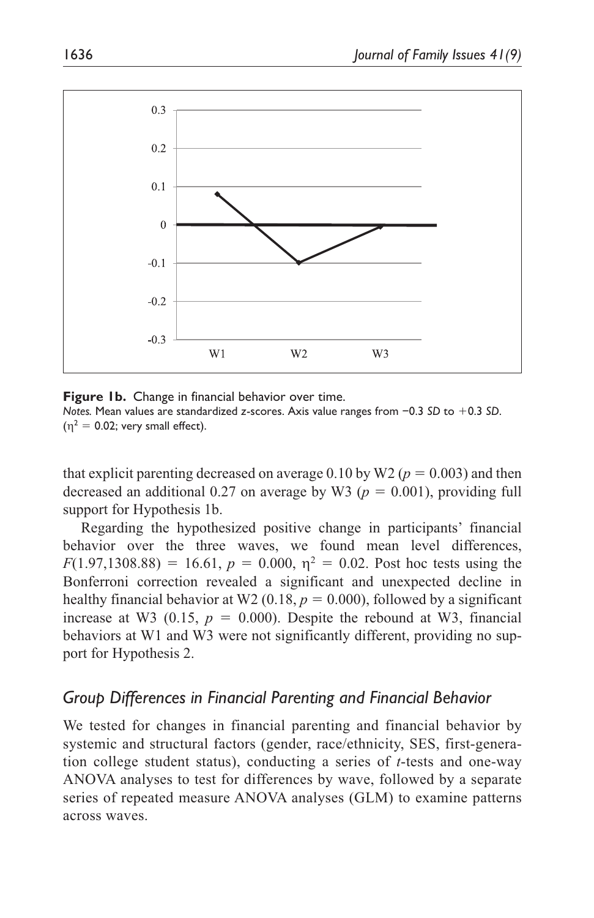

**Figure 1b.** Change in financial behavior over time. *Notes.* Mean values are standardized *z*-scores. Axis value ranges from −0.3 *SD* to +0.3 *SD*.  $(n^2 = 0.02;$  very small effect).

that explicit parenting decreased on average  $0.10$  by W2 ( $p = 0.003$ ) and then decreased an additional 0.27 on average by W3 ( $p = 0.001$ ), providing full support for Hypothesis 1b.

Regarding the hypothesized positive change in participants' financial behavior over the three waves, we found mean level differences,  $F(1.97, 1308.88) = 16.61$ ,  $p = 0.000$ ,  $p^2 = 0.02$ . Post hoc tests using the Bonferroni correction revealed a significant and unexpected decline in healthy financial behavior at W2 (0.18,  $p = 0.000$ ), followed by a significant increase at W3 (0.15,  $p = 0.000$ ). Despite the rebound at W3, financial behaviors at W1 and W3 were not significantly different, providing no support for Hypothesis 2.

### *Group Differences in Financial Parenting and Financial Behavior*

We tested for changes in financial parenting and financial behavior by systemic and structural factors (gender, race/ethnicity, SES, first-generation college student status), conducting a series of *t*-tests and one-way ANOVA analyses to test for differences by wave, followed by a separate series of repeated measure ANOVA analyses (GLM) to examine patterns across waves.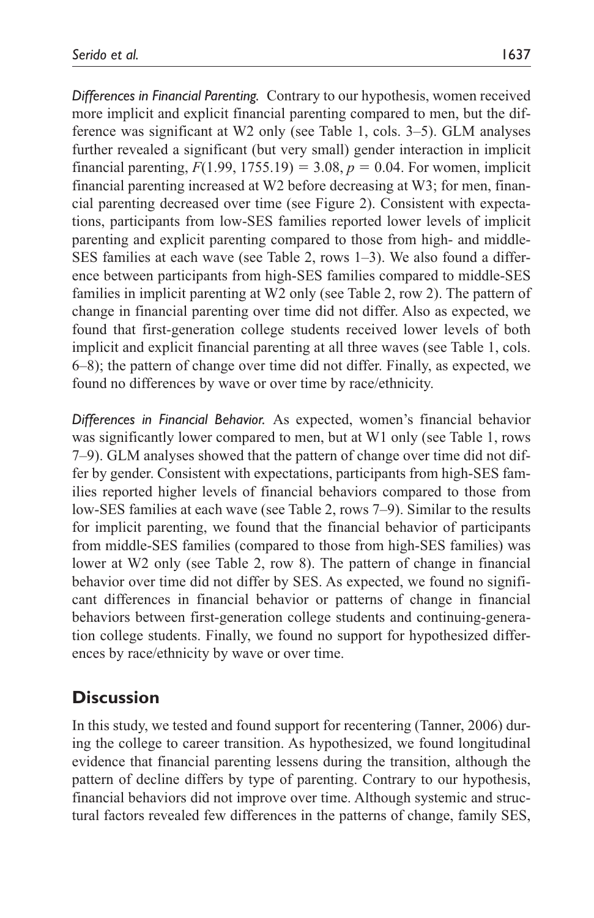*Differences in Financial Parenting.* Contrary to our hypothesis, women received more implicit and explicit financial parenting compared to men, but the difference was significant at W2 only (see Table 1, cols. 3–5). GLM analyses further revealed a significant (but very small) gender interaction in implicit financial parenting,  $F(1.99, 1755.19) = 3.08$ ,  $p = 0.04$ . For women, implicit financial parenting increased at W2 before decreasing at W3; for men, financial parenting decreased over time (see Figure 2). Consistent with expectations, participants from low-SES families reported lower levels of implicit parenting and explicit parenting compared to those from high- and middle-SES families at each wave (see Table 2, rows 1–3). We also found a difference between participants from high-SES families compared to middle-SES families in implicit parenting at W2 only (see Table 2, row 2). The pattern of change in financial parenting over time did not differ. Also as expected, we found that first-generation college students received lower levels of both implicit and explicit financial parenting at all three waves (see Table 1, cols. 6–8); the pattern of change over time did not differ. Finally, as expected, we found no differences by wave or over time by race/ethnicity.

*Differences in Financial Behavior.* As expected, women's financial behavior was significantly lower compared to men, but at W1 only (see Table 1, rows 7–9). GLM analyses showed that the pattern of change over time did not differ by gender. Consistent with expectations, participants from high-SES families reported higher levels of financial behaviors compared to those from low-SES families at each wave (see Table 2, rows 7–9). Similar to the results for implicit parenting, we found that the financial behavior of participants from middle-SES families (compared to those from high-SES families) was lower at W2 only (see Table 2, row 8). The pattern of change in financial behavior over time did not differ by SES. As expected, we found no significant differences in financial behavior or patterns of change in financial behaviors between first-generation college students and continuing-generation college students. Finally, we found no support for hypothesized differences by race/ethnicity by wave or over time.

# **Discussion**

In this study, we tested and found support for recentering (Tanner, 2006) during the college to career transition. As hypothesized, we found longitudinal evidence that financial parenting lessens during the transition, although the pattern of decline differs by type of parenting. Contrary to our hypothesis, financial behaviors did not improve over time. Although systemic and structural factors revealed few differences in the patterns of change, family SES,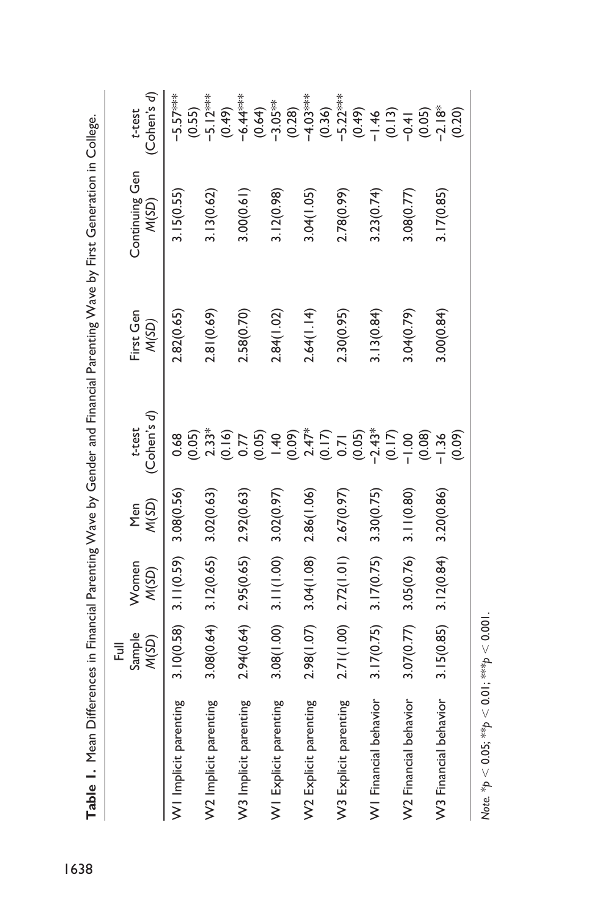|                                   | Sample<br>M(SD)<br>卮 | Nomen<br>M(SD)            | M(SD)<br>Men | (Cohen's d)<br>t-test                       | First Gen<br>M(SD) | Continuing Gen<br>M(SD) | (Cohen's d)<br>t-test                                   |
|-----------------------------------|----------------------|---------------------------|--------------|---------------------------------------------|--------------------|-------------------------|---------------------------------------------------------|
| W1 Implicit parenting             | 3.10(0.58)           | 3.11(0.59)                | 3.08(0.56)   | 0.68                                        | 2.82(0.65)         | 3.15(0.55)              | $-5.57***$                                              |
| W2 Implicit parenting             |                      | $3.08(0.64)$ $3.12(0.65)$ | 3.02(0.63)   | $0.05$<br>2.33*<br>0.16)                    | 2.81(0.69)         | 3.13(0.62)              | $(0.55)$<br>-5.12***                                    |
| W3 Implicit parenting             | 2.94(0.64)           | 2.95(0.65)                | 2.92(0.63)   | $0.77$<br>$0.05$                            | 2.58(0.70)         | 1.00(0.61)              | $(0.49)$<br>-6.44***                                    |
| WI Explicit parenting             | 3.08(1.00)           | 3.11(1.00)                | 3.02(0.97)   | $-40$                                       | 2.84(1.02)         | 0.12(0.98)              | $(0.64)$<br>-3.05**                                     |
| W2 Explicit parenting             |                      | $2.98(1.07)$ $3.04(1.08)$ | 2.86(1.06)   |                                             | 2.64(1.14)         | 3.04(1.05)              | $(0.28)$<br>-4.03***                                    |
| W <sub>3</sub> Explicit parenting | 2.71(1.00)           | 2.72(1.01)                | 2.67(0.97)   | $(0.09)$<br>$2.47*$<br>$(0.17)$<br>$(0.05)$ | 0.30(0.95)         | <b>1.78(0.99)</b>       | $(0.36)$<br>-5.22***                                    |
| WI Financial behavior             | 3.17(0.75)           | 3.17(0.75)                | 3.30(0.75)   | $-2.43*$<br>(0.17)                          | .13(0.84)          | 3.23(0.74)              | $(0.49)$<br>-1.46                                       |
| W2 Financial behavior             |                      | $3.07(0.77)$ $3.05(0.76)$ | 3.11(0.80)   | $-1.00$                                     | 1.04(0.79)         | 1.08(0.77)              | $(0.13)$<br>$-0.41$<br>$(0.05)$<br>$-2.18$ <sup>*</sup> |
| W <sub>3</sub> Financial behavior | 3.15(0.85)           | 3.12(0.84)                | 3.20(0.86)   | (0.08)<br>(0.09)<br>1.36                    | 1.00(0.84)         | 1.17(0.85)              | (0.20)                                                  |
|                                   |                      |                           |              |                                             |                    |                         |                                                         |

*Note.* \**p* < 0.05; \*\**p* < 0.01; \*\*\**p* < 0.001.

Note. \* $p < 0.05$ ; \*\* $p < 0.01$ ; \*\*\* $p < 0.001$ .

Table 1. Mean Differences in Financial Parenting Wave by Gender and Financial Parenting Wave by First Generation in College. 1638 **Table 1.** Mean Differences in Financial Parenting Wave by Gender and Financial Parenting Wave by First Generation in College.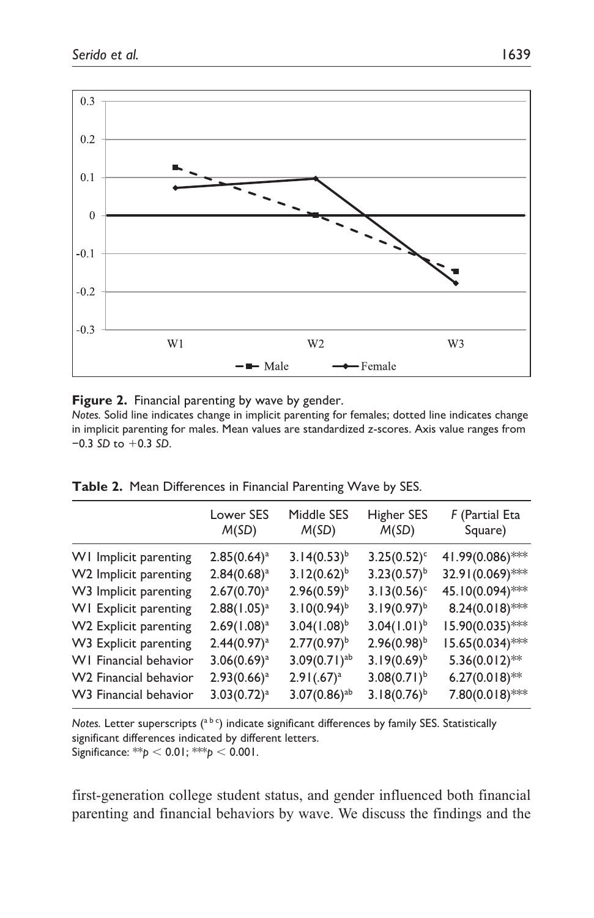

**Figure 2.** Financial parenting by wave by gender.

*Notes.* Solid line indicates change in implicit parenting for females; dotted line indicates change in implicit parenting for males. Mean values are standardized *z*-scores. Axis value ranges from −0.3 *SD* to +0.3 *SD*.

|                              | Lower SES<br>M(SD) | Middle SES<br>M(SD)        | Higher SES<br>M(SD) | F (Partial Eta<br>Square) |
|------------------------------|--------------------|----------------------------|---------------------|---------------------------|
| WI Implicit parenting        | $2.85(0.64)^a$     | $3.14(0.53)^{b}$           | $3.25(0.52)^c$      | 41.99(0.086)***           |
| W2 Implicit parenting        | $2.84(0.68)^a$     | $3.12(0.62)^{b}$           | $3.23(0.57)^{b}$    | 32.91(0.069)***           |
| W3 Implicit parenting        | $2.67(0.70)^a$     | $2.96(0.59)^{b}$           | $3.13(0.56)^c$      | 45.10(0.094)***           |
| <b>WI</b> Explicit parenting | $2.88(1.05)^a$     | $3.10(0.94)^{b}$           | $3.19(0.97)^{b}$    | $8.24(0.018)$ ***         |
| W2 Explicit parenting        | $2.69(1.08)^a$     | $3.04(1.08)^{b}$           | $3.04(1.01)^{b}$    | 15.90(0.035)***           |
| W3 Explicit parenting        | $2.44(0.97)^a$     | $2.77(0.97)^{b}$           | $2.96(0.98)^{b}$    | 15.65(0.034)***           |
| WI Financial behavior        | $3.06(0.69)^a$     | $3.09(0.71)$ <sup>ab</sup> | $3.19(0.69)^{b}$    | $5.36(0.012)$ **          |
| W2 Financial behavior        | $2.93(0.66)^a$     | $2.91(.67)^{a}$            | $3.08(0.71)^{b}$    | $6.27(0.018)$ **          |
| W3 Financial behavior        | $3.03(0.72)^a$     | $3.07(0.86)$ <sup>ab</sup> | $3.18(0.76)^{b}$    | $7.80(0.018)$ ***         |
|                              |                    |                            |                     |                           |

**Table 2.** Mean Differences in Financial Parenting Wave by SES.

*Notes.* Letter superscripts (<sup>a b c</sup>) indicate significant differences by family SES. Statistically significant differences indicated by different letters. Significance: \*\**p* < 0.01; \*\*\**p* < 0.001.

first-generation college student status, and gender influenced both financial parenting and financial behaviors by wave. We discuss the findings and the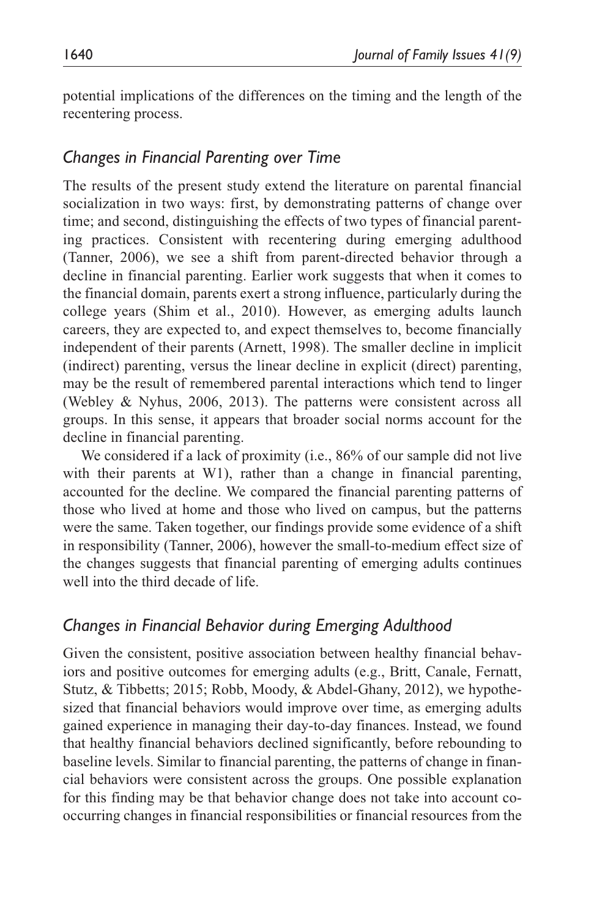potential implications of the differences on the timing and the length of the recentering process.

## *Changes in Financial Parenting over Time*

The results of the present study extend the literature on parental financial socialization in two ways: first, by demonstrating patterns of change over time; and second, distinguishing the effects of two types of financial parenting practices. Consistent with recentering during emerging adulthood (Tanner, 2006), we see a shift from parent-directed behavior through a decline in financial parenting. Earlier work suggests that when it comes to the financial domain, parents exert a strong influence, particularly during the college years (Shim et al., 2010). However, as emerging adults launch careers, they are expected to, and expect themselves to, become financially independent of their parents (Arnett, 1998). The smaller decline in implicit (indirect) parenting, versus the linear decline in explicit (direct) parenting, may be the result of remembered parental interactions which tend to linger (Webley & Nyhus, 2006, 2013). The patterns were consistent across all groups. In this sense, it appears that broader social norms account for the decline in financial parenting.

We considered if a lack of proximity (i.e., 86% of our sample did not live with their parents at W1), rather than a change in financial parenting, accounted for the decline. We compared the financial parenting patterns of those who lived at home and those who lived on campus, but the patterns were the same. Taken together, our findings provide some evidence of a shift in responsibility (Tanner, 2006), however the small-to-medium effect size of the changes suggests that financial parenting of emerging adults continues well into the third decade of life.

## *Changes in Financial Behavior during Emerging Adulthood*

Given the consistent, positive association between healthy financial behaviors and positive outcomes for emerging adults (e.g., Britt, Canale, Fernatt, Stutz, & Tibbetts; 2015; Robb, Moody, & Abdel-Ghany, 2012), we hypothesized that financial behaviors would improve over time, as emerging adults gained experience in managing their day-to-day finances. Instead, we found that healthy financial behaviors declined significantly, before rebounding to baseline levels. Similar to financial parenting, the patterns of change in financial behaviors were consistent across the groups. One possible explanation for this finding may be that behavior change does not take into account cooccurring changes in financial responsibilities or financial resources from the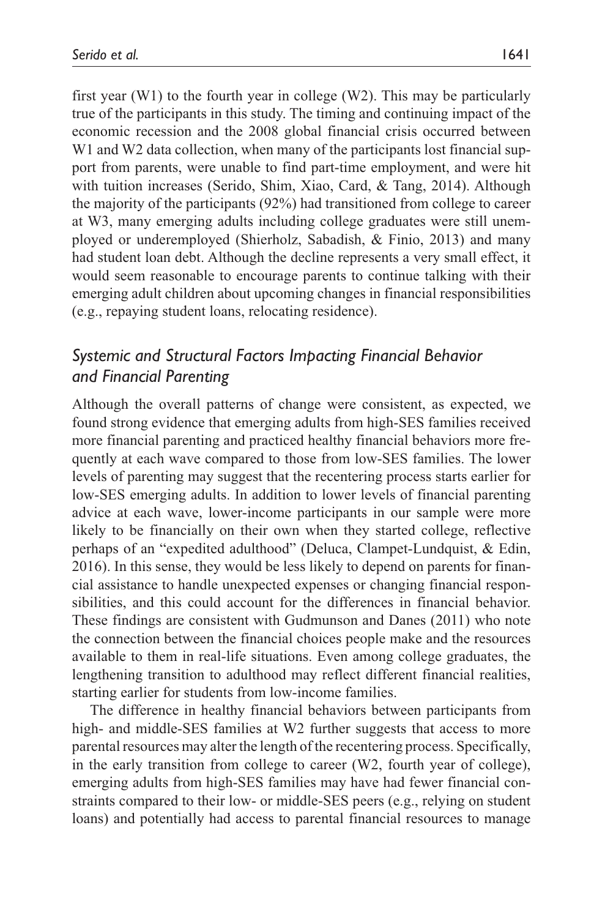first year (W1) to the fourth year in college (W2). This may be particularly true of the participants in this study. The timing and continuing impact of the economic recession and the 2008 global financial crisis occurred between W<sub>1</sub> and W<sub>2</sub> data collection, when many of the participants lost financial support from parents, were unable to find part-time employment, and were hit with tuition increases (Serido, Shim, Xiao, Card, & Tang, 2014). Although the majority of the participants (92%) had transitioned from college to career at W3, many emerging adults including college graduates were still unemployed or underemployed (Shierholz, Sabadish, & Finio, 2013) and many had student loan debt. Although the decline represents a very small effect, it would seem reasonable to encourage parents to continue talking with their emerging adult children about upcoming changes in financial responsibilities (e.g., repaying student loans, relocating residence).

# *Systemic and Structural Factors Impacting Financial Behavior and Financial Parenting*

Although the overall patterns of change were consistent, as expected, we found strong evidence that emerging adults from high-SES families received more financial parenting and practiced healthy financial behaviors more frequently at each wave compared to those from low-SES families. The lower levels of parenting may suggest that the recentering process starts earlier for low-SES emerging adults. In addition to lower levels of financial parenting advice at each wave, lower-income participants in our sample were more likely to be financially on their own when they started college, reflective perhaps of an "expedited adulthood" (Deluca, Clampet-Lundquist, & Edin, 2016). In this sense, they would be less likely to depend on parents for financial assistance to handle unexpected expenses or changing financial responsibilities, and this could account for the differences in financial behavior. These findings are consistent with Gudmunson and Danes (2011) who note the connection between the financial choices people make and the resources available to them in real-life situations. Even among college graduates, the lengthening transition to adulthood may reflect different financial realities, starting earlier for students from low-income families.

The difference in healthy financial behaviors between participants from high- and middle-SES families at W2 further suggests that access to more parental resources may alter the length of the recentering process. Specifically, in the early transition from college to career (W2, fourth year of college), emerging adults from high-SES families may have had fewer financial constraints compared to their low- or middle-SES peers (e.g., relying on student loans) and potentially had access to parental financial resources to manage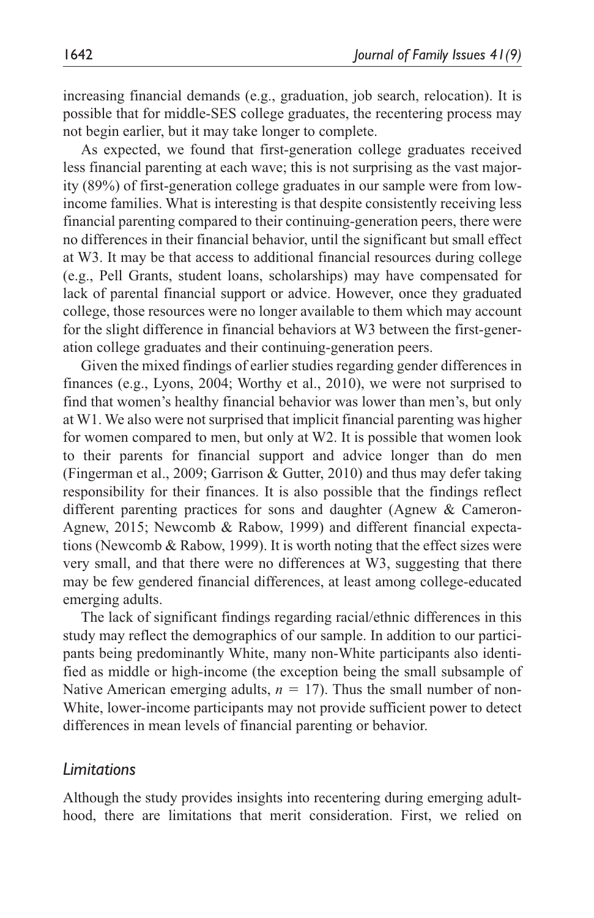increasing financial demands (e.g., graduation, job search, relocation). It is possible that for middle-SES college graduates, the recentering process may not begin earlier, but it may take longer to complete.

As expected, we found that first-generation college graduates received less financial parenting at each wave; this is not surprising as the vast majority (89%) of first-generation college graduates in our sample were from lowincome families. What is interesting is that despite consistently receiving less financial parenting compared to their continuing-generation peers, there were no differences in their financial behavior, until the significant but small effect at W3. It may be that access to additional financial resources during college (e.g., Pell Grants, student loans, scholarships) may have compensated for lack of parental financial support or advice. However, once they graduated college, those resources were no longer available to them which may account for the slight difference in financial behaviors at W3 between the first-generation college graduates and their continuing-generation peers.

Given the mixed findings of earlier studies regarding gender differences in finances (e.g., Lyons, 2004; Worthy et al., 2010), we were not surprised to find that women's healthy financial behavior was lower than men's, but only at W1. We also were not surprised that implicit financial parenting was higher for women compared to men, but only at W2. It is possible that women look to their parents for financial support and advice longer than do men (Fingerman et al., 2009; Garrison & Gutter, 2010) and thus may defer taking responsibility for their finances. It is also possible that the findings reflect different parenting practices for sons and daughter (Agnew & Cameron-Agnew, 2015; Newcomb & Rabow, 1999) and different financial expectations (Newcomb  $\&$  Rabow, 1999). It is worth noting that the effect sizes were very small, and that there were no differences at W3, suggesting that there may be few gendered financial differences, at least among college-educated emerging adults.

The lack of significant findings regarding racial/ethnic differences in this study may reflect the demographics of our sample. In addition to our participants being predominantly White, many non-White participants also identified as middle or high-income (the exception being the small subsample of Native American emerging adults,  $n = 17$ ). Thus the small number of non-White, lower-income participants may not provide sufficient power to detect differences in mean levels of financial parenting or behavior.

#### *Limitations*

Although the study provides insights into recentering during emerging adulthood, there are limitations that merit consideration. First, we relied on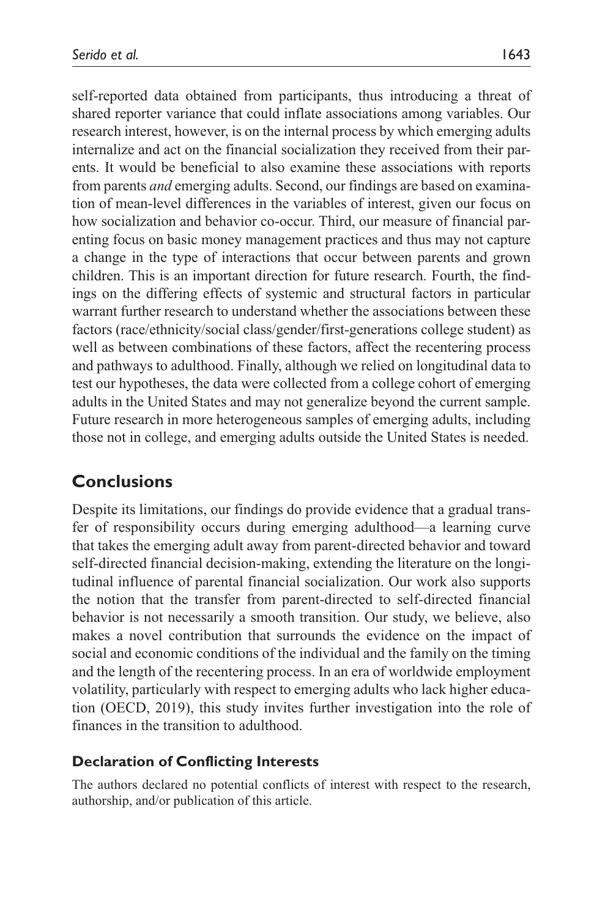self-reported data obtained from participants, thus introducing a threat of shared reporter variance that could inflate associations among variables. Our research interest, however, is on the internal process by which emerging adults internalize and act on the financial socialization they received from their parents. It would be beneficial to also examine these associations with reports from parents *and* emerging adults. Second, our findings are based on examination of mean-level differences in the variables of interest, given our focus on how socialization and behavior co-occur. Third, our measure of financial parenting focus on basic money management practices and thus may not capture a change in the type of interactions that occur between parents and grown children. This is an important direction for future research. Fourth, the findings on the differing effects of systemic and structural factors in particular warrant further research to understand whether the associations between these factors (race/ethnicity/social class/gender/first-generations college student) as well as between combinations of these factors, affect the recentering process and pathways to adulthood. Finally, although we relied on longitudinal data to test our hypotheses, the data were collected from a college cohort of emerging adults in the United States and may not generalize beyond the current sample. Future research in more heterogeneous samples of emerging adults, including those not in college, and emerging adults outside the United States is needed.

# **Conclusions**

Despite its limitations, our findings do provide evidence that a gradual transfer of responsibility occurs during emerging adulthood—a learning curve that takes the emerging adult away from parent-directed behavior and toward self-directed financial decision-making, extending the literature on the longitudinal influence of parental financial socialization. Our work also supports the notion that the transfer from parent-directed to self-directed financial behavior is not necessarily a smooth transition. Our study, we believe, also makes a novel contribution that surrounds the evidence on the impact of social and economic conditions of the individual and the family on the timing and the length of the recentering process. In an era of worldwide employment volatility, particularly with respect to emerging adults who lack higher education (OECD, 2019), this study invites further investigation into the role of finances in the transition to adulthood.

# **Declaration of Conflicting Interests**

The authors declared no potential conflicts of interest with respect to the research, authorship, and/or publication of this article.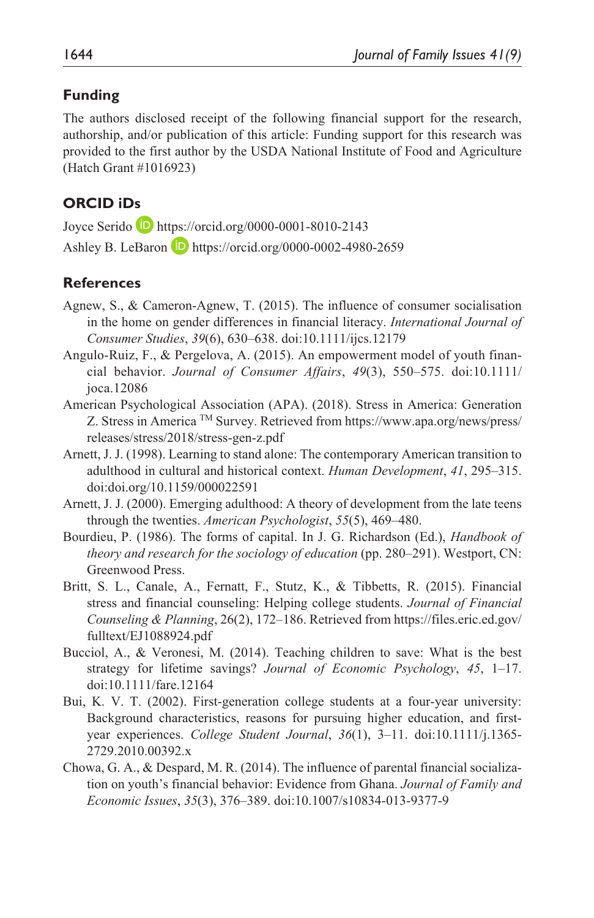## **Funding**

The authors disclosed receipt of the following financial support for the research, authorship, and/or publication of this article: Funding support for this research was provided to the first author by the USDA National Institute of Food and Agriculture (Hatch Grant #1016923)

# **ORCID iDs**

Joyce Serido <https://orcid.org/0000-0001-8010-2143> Ashley B. LeBaron **D** <https://orcid.org/0000-0002-4980-2659>

## **References**

- Agnew, S., & Cameron-Agnew, T. (2015). The influence of consumer socialisation in the home on gender differences in financial literacy. *International Journal of Consumer Studies*, *39*(6), 630–638. doi:10.1111/ijcs.12179
- Angulo-Ruiz, F., & Pergelova, A. (2015). An empowerment model of youth financial behavior. *Journal of Consumer Affairs*, *49*(3), 550–575. doi:10.1111/ joca.12086
- American Psychological Association (APA). (2018). Stress in America: Generation Z. Stress in America TM Survey. Retrieved from [https://www.apa.org/news/press/](https://www.apa.org/news/press/releases/stress/2018/stress-gen-z.pdf) [releases/stress/2018/stress-gen-z.pdf](https://www.apa.org/news/press/releases/stress/2018/stress-gen-z.pdf)
- Arnett, J. J. (1998). Learning to stand alone: The contemporary American transition to adulthood in cultural and historical context. *Human Development*, *41*, 295–315. doi:doi.org/10.1159/000022591
- Arnett, J. J. (2000). Emerging adulthood: A theory of development from the late teens through the twenties. *American Psychologist*, *55*(5), 469–480.
- Bourdieu, P. (1986). The forms of capital. In J. G. Richardson (Ed.), *Handbook of theory and research for the sociology of education* (pp. 280–291). Westport, CN: Greenwood Press.
- Britt, S. L., Canale, A., Fernatt, F., Stutz, K., & Tibbetts, R. (2015). Financial stress and financial counseling: Helping college students. *Journal of Financial Counseling & Planning*, 26(2), 172–186. Retrieved from [https://files.eric.ed.gov/](https://files.eric.ed.gov/fulltext/EJ1088924.pdf) [fulltext/EJ1088924.pdf](https://files.eric.ed.gov/fulltext/EJ1088924.pdf)
- Bucciol, A., & Veronesi, M. (2014). Teaching children to save: What is the best strategy for lifetime savings? *Journal of Economic Psychology*, *45*, 1–17. doi:10.1111/fare.12164
- Bui, K. V. T. (2002). First-generation college students at a four-year university: Background characteristics, reasons for pursuing higher education, and firstyear experiences. *College Student Journal*, *36*(1), 3–11. doi:10.1111/j.1365- 2729.2010.00392.x
- Chowa, G. A., & Despard, M. R. (2014). The influence of parental financial socialization on youth's financial behavior: Evidence from Ghana. *Journal of Family and Economic Issues*, *35*(3), 376–389. doi:10.1007/s10834-013-9377-9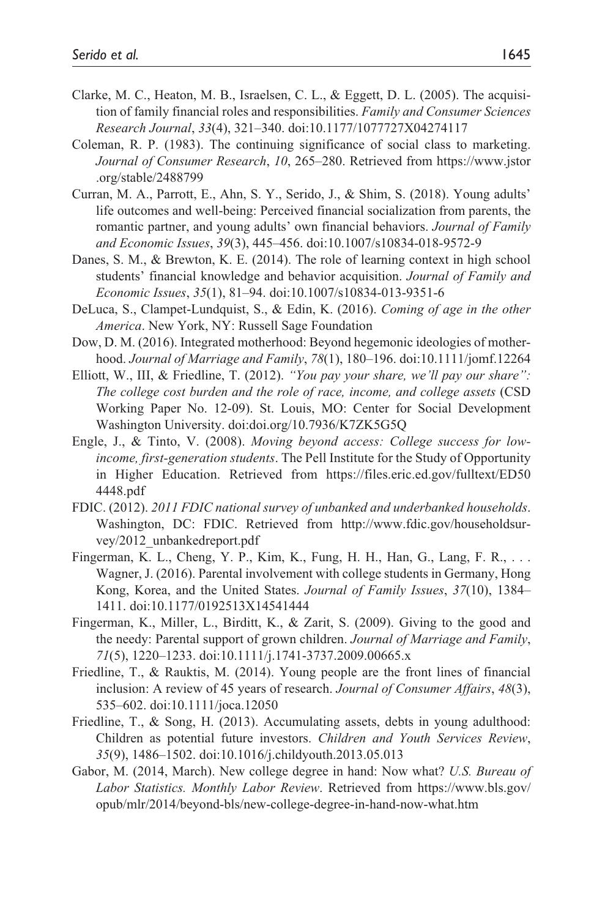- Clarke, M. C., Heaton, M. B., Israelsen, C. L., & Eggett, D. L. (2005). The acquisition of family financial roles and responsibilities. *Family and Consumer Sciences Research Journal*, *33*(4), 321–340. doi:10.1177/1077727X04274117
- Coleman, R. P. (1983). The continuing significance of social class to marketing. *Journal of Consumer Research*, *10*, 265–280. Retrieved from [https://www.jstor](https://www.jstor.org/stable/2488799) [.org/stable/2488799](https://www.jstor.org/stable/2488799)
- Curran, M. A., Parrott, E., Ahn, S. Y., Serido, J., & Shim, S. (2018). Young adults' life outcomes and well-being: Perceived financial socialization from parents, the romantic partner, and young adults' own financial behaviors. *Journal of Family and Economic Issues*, *39*(3), 445–456. doi:10.1007/s10834-018-9572-9
- Danes, S. M., & Brewton, K. E. (2014). The role of learning context in high school students' financial knowledge and behavior acquisition. *Journal of Family and Economic Issues*, *35*(1), 81–94. doi:10.1007/s10834-013-9351-6
- DeLuca, S., Clampet-Lundquist, S., & Edin, K. (2016). *Coming of age in the other America*. New York, NY: Russell Sage Foundation
- Dow, D. M. (2016). Integrated motherhood: Beyond hegemonic ideologies of motherhood. *Journal of Marriage and Family*, *78*(1), 180–196. doi:10.1111/jomf.12264
- Elliott, W., III, & Friedline, T. (2012). *"You pay your share, we'll pay our share": The college cost burden and the role of race, income, and college assets* (CSD Working Paper No. 12-09). St. Louis, MO: Center for Social Development Washington University. doi:doi.org/10.7936/K7ZK5G5Q
- Engle, J., & Tinto, V. (2008). *Moving beyond access: College success for lowincome, first-generation students*. The Pell Institute for the Study of Opportunity in Higher Education. Retrieved from [https://files.eric.ed.gov/fulltext/ED50](https://files.eric.ed.gov/fulltext/ED504448.pdf) [4448.pdf](https://files.eric.ed.gov/fulltext/ED504448.pdf)
- FDIC. (2012). *2011 FDIC national survey of unbanked and underbanked households*. Washington, DC: FDIC. Retrieved from [http://www.fdic.gov/householdsur](http://www.fdic.gov/householdsurvey/2012_unbankedreport.pdf)[vey/2012\\_unbankedreport.pdf](http://www.fdic.gov/householdsurvey/2012_unbankedreport.pdf)
- Fingerman, K. L., Cheng, Y. P., Kim, K., Fung, H. H., Han, G., Lang, F. R., . . . Wagner, J. (2016). Parental involvement with college students in Germany, Hong Kong, Korea, and the United States. *Journal of Family Issues*, *37*(10), 1384– 1411. doi:10.1177/0192513X14541444
- Fingerman, K., Miller, L., Birditt, K., & Zarit, S. (2009). Giving to the good and the needy: Parental support of grown children. *Journal of Marriage and Family*, *71*(5), 1220–1233. doi:10.1111/j.1741-3737.2009.00665.x
- Friedline, T., & Rauktis, M. (2014). Young people are the front lines of financial inclusion: A review of 45 years of research. *Journal of Consumer Affairs*, *48*(3), 535–602. doi:10.1111/joca.12050
- Friedline, T., & Song, H. (2013). Accumulating assets, debts in young adulthood: Children as potential future investors. *Children and Youth Services Review*, *35*(9), 1486–1502. doi:10.1016/j.childyouth.2013.05.013
- Gabor, M. (2014, March). New college degree in hand: Now what? *U.S. Bureau of Labor Statistics. Monthly Labor Review*. Retrieved from [https://www.bls.gov/](https://www.bls.gov/opub/mlr/2014/beyond-bls/new-college-degree-in-hand-now-what.htm) [opub/mlr/2014/beyond-bls/new-college-degree-in-hand-now-what.htm](https://www.bls.gov/opub/mlr/2014/beyond-bls/new-college-degree-in-hand-now-what.htm)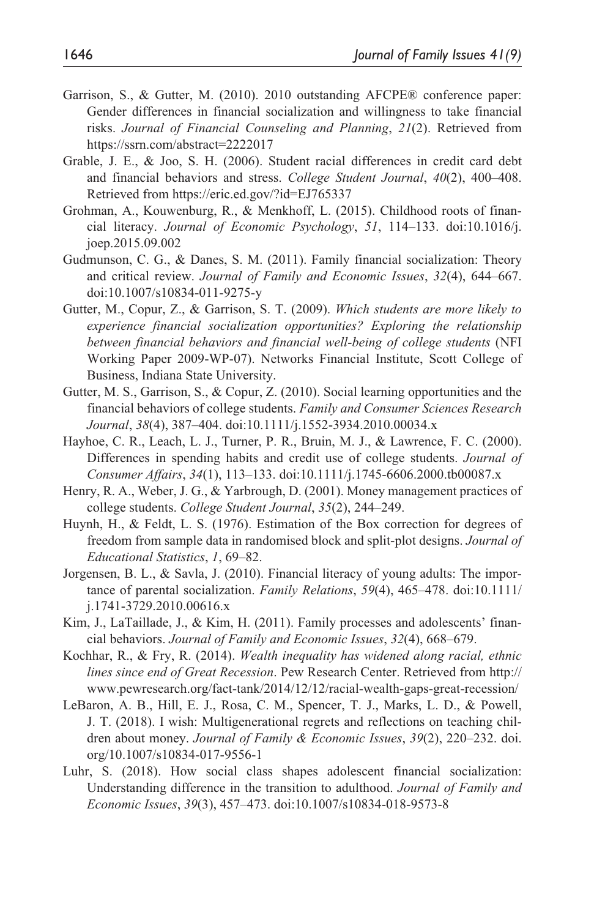- Garrison, S., & Gutter, M. (2010). 2010 outstanding AFCPE® conference paper: Gender differences in financial socialization and willingness to take financial risks. *Journal of Financial Counseling and Planning*, *21*(2). Retrieved from <https://ssrn.com/abstract=2222017>
- Grable, J. E., & Joo, S. H. (2006). Student racial differences in credit card debt and financial behaviors and stress. *College Student Journal*, *40*(2), 400–408. Retrieved from <https://eric.ed.gov/?id=EJ765337>
- Grohman, A., Kouwenburg, R., & Menkhoff, L. (2015). Childhood roots of financial literacy. *Journal of Economic Psychology*, *51*, 114–133. doi:10.1016/j. joep.2015.09.002
- Gudmunson, C. G., & Danes, S. M. (2011). Family financial socialization: Theory and critical review. *Journal of Family and Economic Issues*, *32*(4), 644–667. doi:10.1007/s10834-011-9275-y
- Gutter, M., Copur, Z., & Garrison, S. T. (2009). *Which students are more likely to experience financial socialization opportunities? Exploring the relationship between financial behaviors and financial well-being of college students* (NFI Working Paper 2009-WP-07). Networks Financial Institute, Scott College of Business, Indiana State University.
- Gutter, M. S., Garrison, S., & Copur, Z. (2010). Social learning opportunities and the financial behaviors of college students. *Family and Consumer Sciences Research Journal*, *38*(4), 387–404. doi:10.1111/j.1552-3934.2010.00034.x
- Hayhoe, C. R., Leach, L. J., Turner, P. R., Bruin, M. J., & Lawrence, F. C. (2000). Differences in spending habits and credit use of college students. *Journal of Consumer Affairs*, *34*(1), 113–133. doi:10.1111/j.1745-6606.2000.tb00087.x
- Henry, R. A., Weber, J. G., & Yarbrough, D. (2001). Money management practices of college students. *College Student Journal*, *35*(2), 244–249.
- Huynh, H., & Feldt, L. S. (1976). Estimation of the Box correction for degrees of freedom from sample data in randomised block and split-plot designs. *Journal of Educational Statistics*, *1*, 69–82.
- Jorgensen, B. L., & Savla, J. (2010). Financial literacy of young adults: The importance of parental socialization. *Family Relations*, *59*(4), 465–478. doi:10.1111/ j.1741-3729.2010.00616.x
- Kim, J., LaTaillade, J., & Kim, H. (2011). Family processes and adolescents' financial behaviors. *Journal of Family and Economic Issues*, *32*(4), 668–679.
- Kochhar, R., & Fry, R. (2014). *Wealth inequality has widened along racial, ethnic lines since end of Great Recession*. Pew Research Center. Retrieved from [http://](http://www.pewresearch.org/fact-tank/2014/12/12/racial-wealth-gaps-great-recession/) [www.pewresearch.org/fact-tank/2014/12/12/racial-wealth-gaps-great-recession/](http://www.pewresearch.org/fact-tank/2014/12/12/racial-wealth-gaps-great-recession/)
- LeBaron, A. B., Hill, E. J., Rosa, C. M., Spencer, T. J., Marks, L. D., & Powell, J. T. (2018). I wish: Multigenerational regrets and reflections on teaching children about money. *Journal of Family & Economic Issues*, *39*(2), 220–232. doi. org/10.1007/s10834-017-9556-1
- Luhr, S. (2018). How social class shapes adolescent financial socialization: Understanding difference in the transition to adulthood. *Journal of Family and Economic Issues*, *39*(3), 457–473. doi:10.1007/s10834-018-9573-8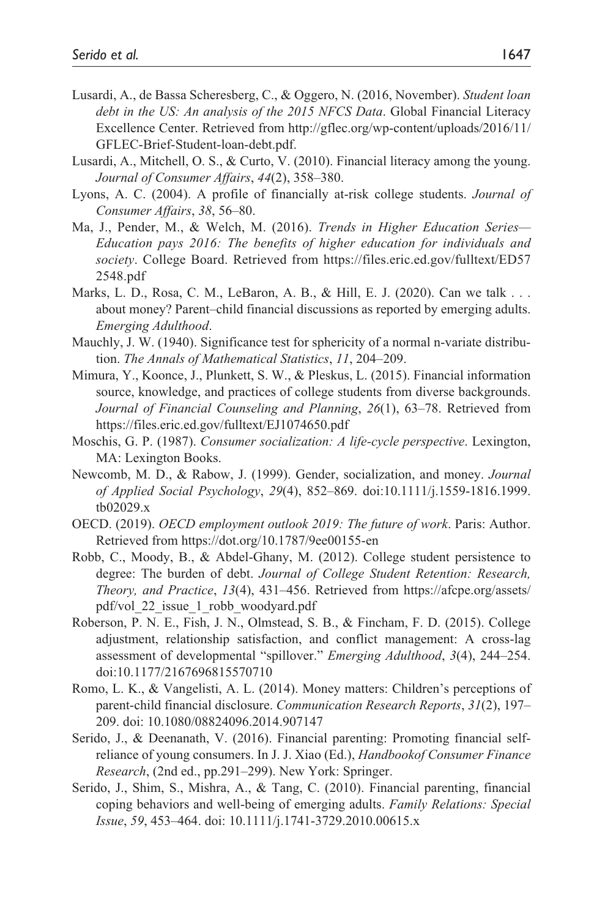- Lusardi, A., de Bassa Scheresberg, C., & Oggero, N. (2016, November). *Student loan debt in the US: An analysis of the 2015 NFCS Data*. Global Financial Literacy Excellence Center. Retrieved from [http://gflec.org/wp-content/uploads/2016/11/](http://gflec.org/wp-content/uploads/2016/11/GFLEC-Brief-Student-loan-debt.pdf) [GFLEC-Brief-Student-loan-debt.pdf.](http://gflec.org/wp-content/uploads/2016/11/GFLEC-Brief-Student-loan-debt.pdf)
- Lusardi, A., Mitchell, O. S., & Curto, V. (2010). Financial literacy among the young. *Journal of Consumer Affairs*, *44*(2), 358–380.
- Lyons, A. C. (2004). A profile of financially at-risk college students. *Journal of Consumer Affairs*, *38*, 56–80.
- Ma, J., Pender, M., & Welch, M. (2016). *Trends in Higher Education Series— Education pays 2016: The benefits of higher education for individuals and society*. College Board. Retrieved from [https://files.eric.ed.gov/fulltext/ED57](https://files.eric.ed.gov/fulltext/ED572548.pdf) [2548.pdf](https://files.eric.ed.gov/fulltext/ED572548.pdf)
- Marks, L. D., Rosa, C. M., LeBaron, A. B., & Hill, E. J. (2020). Can we talk . . . about money? Parent–child financial discussions as reported by emerging adults. *Emerging Adulthood*.
- Mauchly, J. W. (1940). Significance test for sphericity of a normal n-variate distribution. *The Annals of Mathematical Statistics*, *11*, 204–209.
- Mimura, Y., Koonce, J., Plunkett, S. W., & Pleskus, L. (2015). Financial information source, knowledge, and practices of college students from diverse backgrounds. *Journal of Financial Counseling and Planning*, *26*(1), 63–78. Retrieved from <https://files.eric.ed.gov/fulltext/EJ1074650.pdf>
- Moschis, G. P. (1987). *Consumer socialization: A life-cycle perspective*. Lexington, MA: Lexington Books.
- Newcomb, M. D., & Rabow, J. (1999). Gender, socialization, and money. *Journal of Applied Social Psychology*, *29*(4), 852–869. doi:10.1111/j.1559-1816.1999. tb02029.x
- OECD. (2019). *OECD employment outlook 2019: The future of work*. Paris: Author. Retrieved from <https://dot.org/10.1787/9ee00155-en>
- Robb, C., Moody, B., & Abdel-Ghany, M. (2012). College student persistence to degree: The burden of debt. *Journal of College Student Retention: Research, Theory, and Practice*, *13*(4), 431–456. Retrieved from [https://afcpe.org/assets/](https://afcpe.org/assets/pdf/vol_22_issue_1_robb_woodyard.pdf) [pdf/vol\\_22\\_issue\\_1\\_robb\\_woodyard.pdf](https://afcpe.org/assets/pdf/vol_22_issue_1_robb_woodyard.pdf)
- Roberson, P. N. E., Fish, J. N., Olmstead, S. B., & Fincham, F. D. (2015). College adjustment, relationship satisfaction, and conflict management: A cross-lag assessment of developmental "spillover." *Emerging Adulthood*, *3*(4), 244–254. doi:10.1177/2167696815570710
- Romo, L. K., & Vangelisti, A. L. (2014). Money matters: Children's perceptions of parent-child financial disclosure. *Communication Research Reports*, *31*(2), 197– 209. doi: 10.1080/08824096.2014.907147
- Serido, J., & Deenanath, V. (2016). Financial parenting: Promoting financial selfreliance of young consumers. In J. J. Xiao (Ed.), *Handbookof Consumer Finance Research*, (2nd ed., pp.291–299). New York: Springer.
- Serido, J., Shim, S., Mishra, A., & Tang, C. (2010). Financial parenting, financial coping behaviors and well-being of emerging adults. *Family Relations: Special Issue*, *59*, 453–464. doi: 10.1111/j.1741-3729.2010.00615.x